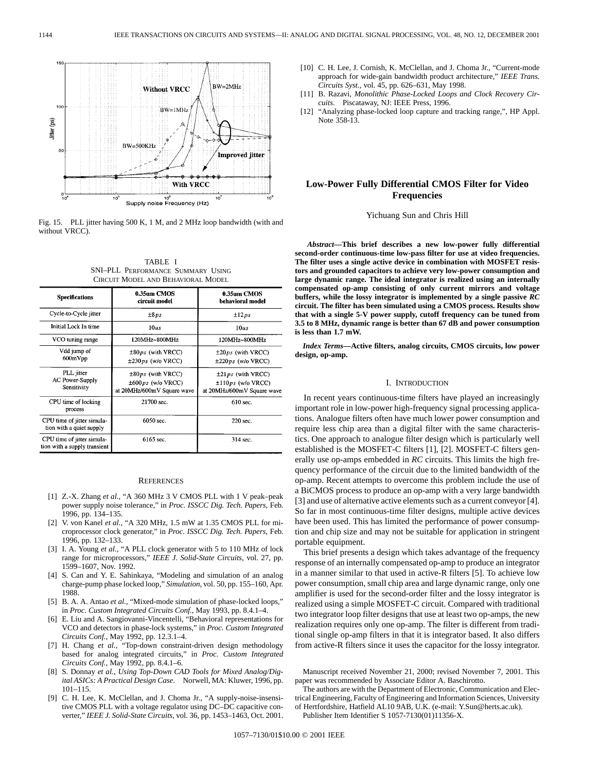

Fig. 15. PLL jitter having 500 K, 1 M, and 2 MHz loop bandwidth (with and without VRCC).

TABLE I SNI–PLL PERFORMANCE SUMMARY USING CIRCUIT MODEL AND BEHAVIORAL MODEL

| <b>Specifications</b>                                      | 0.35um CMOS<br>circuit model                                                           | 0.35um CMOS<br>behavioral model                                                      |  |
|------------------------------------------------------------|----------------------------------------------------------------------------------------|--------------------------------------------------------------------------------------|--|
| Cycle-to-Cycle jitter                                      | $\pm 8 ps$                                                                             | ±12 ps                                                                               |  |
| Initial Lock In time                                       | 10us                                                                                   | 10us                                                                                 |  |
| VCO tuning range                                           | 120MHz~800MHz                                                                          | 120MHz~800MHz                                                                        |  |
| Vdd jump of<br>600mVpp                                     | $\pm 80 \, ps$ (with VRCC)<br>$\pm 230 \text{ps}$ (w/o VRCC)                           | $\pm 20 \text{ps}$ (with VRCC)<br>$\pm 220 \text{ps}$ (w/o VRCC)                     |  |
| PLL jitter<br>AC Power-Supply<br>Sensitivity               | $\pm 80 \, ps$ (with VRCC)<br>$\pm 600 \, ps$ (w/o VRCC)<br>at 20MHz/600mV Square wave | $\pm 21 \text{ps}$ (with VRCC)<br>$±110 ps$ (w/o VRCC)<br>at 20MHz/600mV Square wave |  |
| CPU time of locking<br>process                             | 21700 sec.                                                                             | 610 sec.                                                                             |  |
| CPU time of jitter simula-<br>tion with a quiet supply     | 6050 sec.                                                                              | $220$ sec.                                                                           |  |
| CPU time of jitter simula-<br>tion with a supply transient | 6165 sec.                                                                              | 314 sec.                                                                             |  |

# **REFERENCES**

- [1] Z.-X. Zhang *et al.*, "A 360 MHz 3 V CMOS PLL with 1 V peak–peak power supply noise tolerance," in *Proc. ISSCC Dig. Tech. Papers*, Feb. 1996, pp. 134–135.
- [2] V. von Kanel *et al.*, "A 320 MHz, 1.5 mW at 1.35 CMOS PLL for microprocessor clock generator," in *Proc. ISSCC Dig. Tech. Papers*, Feb. 1996, pp. 132–133.
- [3] I. A. Young *et al.*, "A PLL clock generator with 5 to 110 MHz of lock range for microprocessors," *IEEE J. Solid-State Circuits*, vol. 27, pp. 1599–1607, Nov. 1992.
- [4] S. Can and Y. E. Sahinkaya, "Modeling and simulation of an analog charge-pump phase locked loop," *Simulation*, vol. 50, pp. 155–160, Apr. 1988.
- [5] B. A. A. Antao et al., "Mixed-mode simulation of phase-locked loops," in *Proc. Custom Integrated Circuits Conf.*, May 1993, pp. 8.4.1–4.
- [6] E. Liu and A. Sangiovanni-Vincentelli, "Behavioral representations for VCO and detectors in phase-lock systems," in *Proc. Custom Integrated Circuits Conf.*, May 1992, pp. 12.3.1–4.
- [7] H. Chang *et al.*, "Top-down constraint-driven design methodology based for analog integrated circuits," in *Proc. Custom Integrated Circuits Conf.*, May 1992, pp. 8.4.1–6.
- [8] S. Donnay *et al.*, *Using Top-Down CAD Tools for Mixed Analog/Digital ASICs: A Practical Design Case*. Norwell, MA: Kluwer, 1996, pp. 101–115.
- [9] C. H. Lee, K. McClellan, and J. Choma Jr., "A supply-noise-insensitive CMOS PLL with a voltage regulator using DC–DC capacitive converter," *IEEE J. Solid-State Circuits*, vol. 36, pp. 1453–1463, Oct. 2001.
- [10] C. H. Lee, J. Cornish, K. McClellan, and J. Choma Jr., "Current-mode approach for wide-gain bandwidth product architecture," *IEEE Trans. Circuits Syst.*, vol. 45, pp. 626–631, May 1998.
- [11] B. Razavi, *Monolithic Phase-Locked Loops and Clock Recovery Circuits*. Piscataway, NJ: IEEE Press, 1996.
- [12] "Analyzing phase-locked loop capture and tracking range,", HP Appl. Note 358-13.

# **Low-Power Fully Differential CMOS Filter for Video Frequencies**

Yichuang Sun and Chris Hill

*Abstract—***This brief describes a new low-power fully differential second-order continuous-time low-pass filter for use at video frequencies. The filter uses a single active device in combination with MOSFET resistors and grounded capacitors to achieve very low-power consumption and large dynamic range. The ideal integrator is realized using an internally compensated op-amp consisting of only current mirrors and voltage buffers, while the lossy integrator is implemented by a single passive** *RC* **circuit. The filter has been simulated using a CMOS process. Results show that with a single 5-V power supply, cutoff frequency can be tuned from 3.5 to 8 MHz, dynamic range is better than 67 dB and power consumption is less than 1.7 mW.**

*Index Terms—***Active filters, analog circuits, CMOS circuits, low power design, op-amp.**

#### I. INTRODUCTION

In recent years continuous-time filters have played an increasingly important role in low-power high-frequency signal processing applications. Analogue filters often have much lower power consumption and require less chip area than a digital filter with the same characteristics. One approach to analogue filter design which is particularly well established is the MOSFET-C filters [1], [2]. MOSFET-C filters generally use op-amps embedded in *RC* circuits. This limits the high frequency performance of the circuit due to the limited bandwidth of the op-amp. Recent attempts to overcome this problem include the use of a BiCMOS process to produce an op-amp with a very large bandwidth [3] and use of alternative active elements such as a current conveyor [4]. So far in most continuous-time filter designs, multiple active devices have been used. This has limited the performance of power consumption and chip size and may not be suitable for application in stringent portable equipment.

This brief presents a design which takes advantage of the frequency response of an internally compensated op-amp to produce an integrator in a manner similar to that used in active-R filters [5]. To achieve low power consumption, small chip area and large dynamic range, only one amplifier is used for the second-order filter and the lossy integrator is realized using a simple MOSFET-C circuit. Compared with traditional two integrator loop filter designs that use at least two op-amps, the new realization requires only one op-amp. The filter is different from traditional single op-amp filters in that it is integrator based. It also differs from active-R filters since it uses the capacitor for the lossy integrator.

Manuscript received November 21, 2000; revised November 7, 2001. This paper was recommended by Associate Editor A. Baschirotto.

The authors are with the Department of Electronic, Communication and Electrical Engineering, Faculty of Engineering and Information Sciences, University of Hertfordshire, Hatfield AL10 9AB, U.K. (e-mail: Y.Sun@herts.ac.uk).

Publisher Item Identifier S 1057-7130(01)11356-X.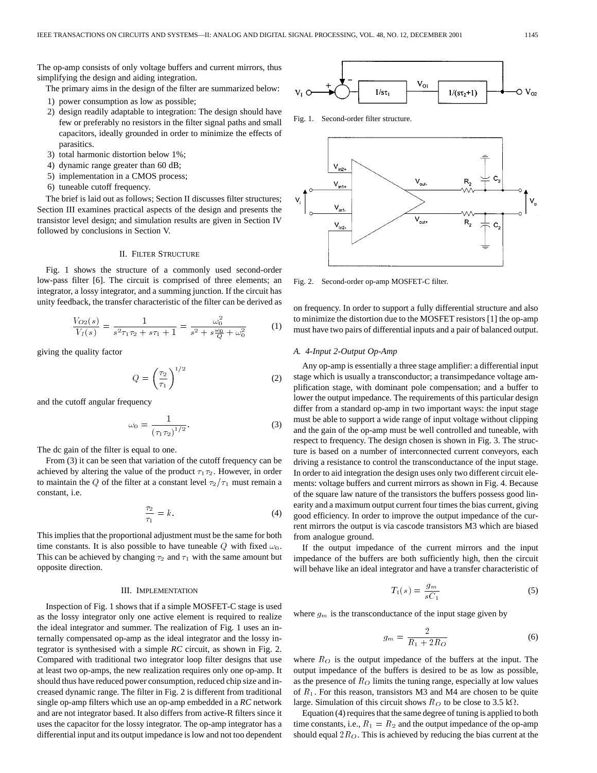The primary aims in the design of the filter are summarized below:

- 1) power consumption as low as possible;
- 2) design readily adaptable to integration: The design should have few or preferably no resistors in the filter signal paths and small capacitors, ideally grounded in order to minimize the effects of parasitics.
- 3) total harmonic distortion below 1%;
- 4) dynamic range greater than 60 dB;
- 5) implementation in a CMOS process;
- 6) tuneable cutoff frequency.

The brief is laid out as follows; Section II discusses filter structures; Section III examines practical aspects of the design and presents the transistor level design; and simulation results are given in Section IV followed by conclusions in Section V.

# II. FILTER STRUCTURE

Fig. 1 shows the structure of a commonly used second-order low-pass filter [6]. The circuit is comprised of three elements; an integrator, a lossy integrator, and a summing junction. If the circuit has unity feedback, the transfer characteristic of the filter can be derived as

$$
\frac{V_{O2}(s)}{V_I(s)} = \frac{1}{s^2 \tau_1 \tau_2 + s \tau_1 + 1} = \frac{\omega_0^2}{s^2 + s \frac{\omega_0}{Q} + \omega_0^2}
$$
 (1)

giving the quality factor

$$
Q = \left(\frac{\tau_2}{\tau_1}\right)^{1/2} \tag{2}
$$

and the cutoff angular frequency

$$
\omega_0 = \frac{1}{(\tau_1 \tau_2)^{1/2}}.
$$
\n(3)

The dc gain of the filter is equal to one.

From (3) it can be seen that variation of the cutoff frequency can be achieved by altering the value of the product  $\tau_1 \tau_2$ . However, in order to maintain the  $Q$  of the filter at a constant level  $\tau_2/\tau_1$  must remain a constant, i.e.

$$
\frac{\tau_2}{\tau_1} = k. \tag{4}
$$

This implies that the proportional adjustment must be the same for both time constants. It is also possible to have tuneable Q with fixed  $\omega_0$ . This can be achieved by changing  $\tau_2$  and  $\tau_1$  with the same amount but opposite direction.

# III. IMPLEMENTATION

Inspection of Fig. 1 shows that if a simple MOSFET-C stage is used as the lossy integrator only one active element is required to realize the ideal integrator and summer. The realization of Fig. 1 uses an internally compensated op-amp as the ideal integrator and the lossy integrator is synthesised with a simple *RC* circuit, as shown in Fig. 2. Compared with traditional two integrator loop filter designs that use at least two op-amps, the new realization requires only one op-amp. It should thus have reduced power consumption, reduced chip size and increased dynamic range. The filter in Fig. 2 is different from traditional single op-amp filters which use an op-amp embedded in a *RC* network and are not integrator based. It also differs from active-R filters since it uses the capacitor for the lossy integrator. The op-amp integrator has a differential input and its output impedance is low and not too dependent



Fig. 1. Second-order filter structure.



Fig. 2. Second-order op-amp MOSFET-C filter.

on frequency. In order to support a fully differential structure and also to minimize the distortion due to the MOSFET resistors [1] the op-amp must have two pairs of differential inputs and a pair of balanced output.

#### *A. 4-Input 2-Output Op-Amp*

Any op-amp is essentially a three stage amplifier: a differential input stage which is usually a transconductor; a transimpedance voltage amplification stage, with dominant pole compensation; and a buffer to lower the output impedance. The requirements of this particular design differ from a standard op-amp in two important ways: the input stage must be able to support a wide range of input voltage without clipping and the gain of the op-amp must be well controlled and tuneable, with respect to frequency. The design chosen is shown in Fig. 3. The structure is based on a number of interconnected current conveyors, each driving a resistance to control the transconductance of the input stage. In order to aid integration the design uses only two different circuit elements: voltage buffers and current mirrors as shown in Fig. 4. Because of the square law nature of the transistors the buffers possess good linearity and a maximum output current four times the bias current, giving good efficiency. In order to improve the output impedance of the current mirrors the output is via cascode transistors M3 which are biased from analogue ground.

If the output impedance of the current mirrors and the input impedance of the buffers are both sufficiently high, then the circuit will behave like an ideal integrator and have a transfer characteristic of

$$
T_1(s) = \frac{g_m}{sC_1} \tag{5}
$$

where  $q_m$  is the transconductance of the input stage given by

$$
g_m = \frac{2}{R_1 + 2R_O} \tag{6}
$$

where  $R_O$  is the output impedance of the buffers at the input. The output impedance of the buffers is desired to be as low as possible, as the presence of  $R_O$  limits the tuning range, especially at low values of  $R_1$ . For this reason, transistors M3 and M4 are chosen to be quite large. Simulation of this circuit shows  $R_O$  to be close to 3.5 k $\Omega$ .

Equation (4) requires that the same degree of tuning is applied to both time constants, i.e.,  $R_1 = R_2$  and the output impedance of the op-amp should equal  $2R_O$ . This is achieved by reducing the bias current at the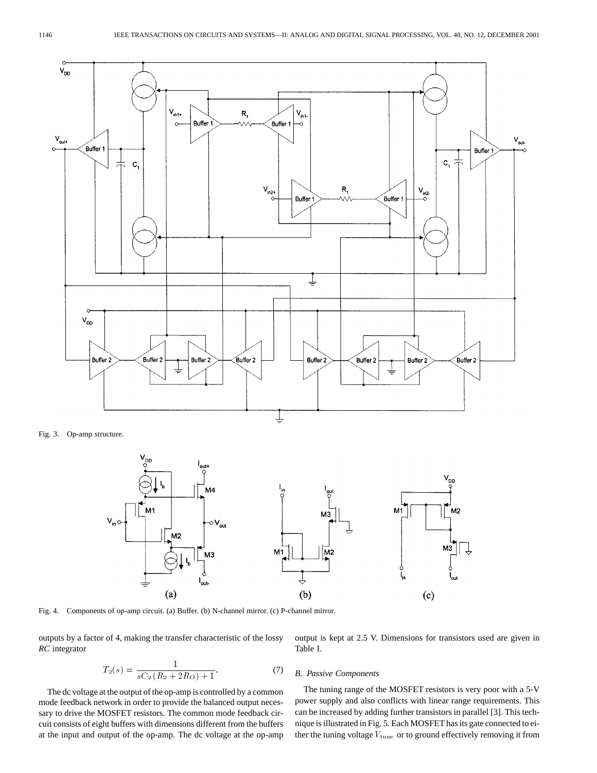

Fig. 3. Op-amp structure.



Fig. 4. Components of op-amp circuit. (a) Buffer. (b) N-channel mirror. (c) P-channel mirror.

outputs by a factor of 4, making the transfer characteristic of the lossy *RC* integrator



The dc voltage at the output of the op-amp is controlled by a common mode feedback network in order to provide the balanced output necessary to drive the MOSFET resistors. The common mode feedback circuit consists of eight buffers with dimensions different from the buffers at the input and output of the op-amp. The dc voltage at the op-amp output is kept at 2.5 V. Dimensions for transistors used are given in Table I.

# *B. Passive Components*

The tuning range of the MOSFET resistors is very poor with a 5-V power supply and also conflicts with linear range requirements. This can be increased by adding further transistors in parallel [3]. This technique is illustrated in Fig. 5. Each MOSFET has its gate connected to either the tuning voltage  $V_{\rm tune}$  or to ground effectively removing it from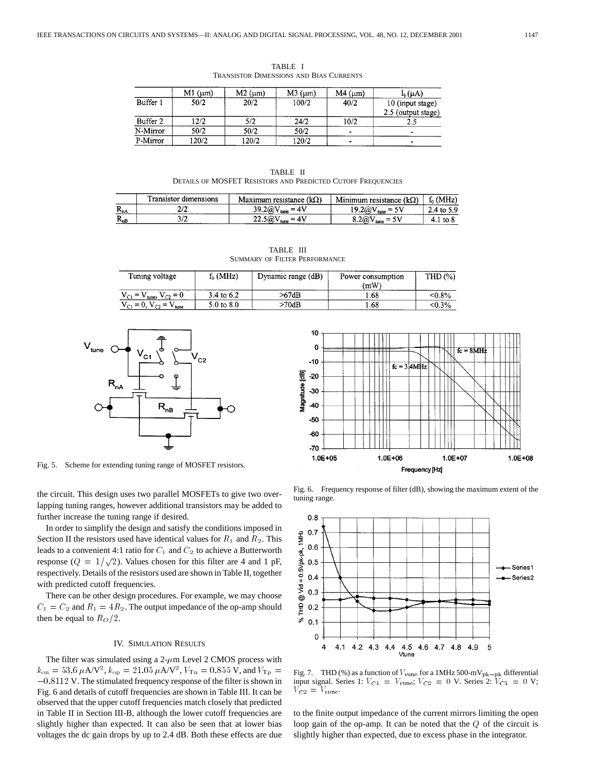|          | $M1$ (um) | $M2$ (um) | $M3$ ( $\mu$ m) | $M4$ ( $\mu$ m) | $I_h(\mu A)$       |
|----------|-----------|-----------|-----------------|-----------------|--------------------|
| Buffer 1 | 50/2      | 20/2      | 100/2           | 40/2            | 10 (input stage)   |
|          |           |           |                 |                 | 2.5 (output stage) |
| Buffer 2 | 2/2       | 5/2       | 24/2            | 10/2            | z.s                |
| N-Mirror | 50/2      | 50/2      | 50/2            |                 |                    |
| P-Mirror | 120/2     | 120/2     | 120/2           |                 |                    |

TABLE I TRANSISTOR DIMENSIONS AND BIAS CURRENTS

TABLE II DETAILS OF MOSFET RESISTORS AND PREDICTED CUTOFF FREQUENCIES

|          | i ransistor dimensions | $(k\Omega)$<br>Maximum resistance | Minimum resistance ( $k\Omega$ ) | (MHz) |
|----------|------------------------|-----------------------------------|----------------------------------|-------|
| $R_{nA}$ | יו ה                   | 39.2@V<br>$= 43$<br>tune          | 19.2@V<br>゠ヽ<br>tune             |       |
| $R_{nB}$ |                        | 22.5(a)<br>$=$<br>tune            | $= 5V$<br>tune                   | tΩ    |

TABLE III SUMMARY OF FILTER PERFORMANCE

| Tuning voltage | $I_0$ (MHz)          | Dynamic range (dB) | Power consumption<br>(mW) | (%)<br>THD |
|----------------|----------------------|--------------------|---------------------------|------------|
| $= 0$<br>tune, | $.4 \text{ to } 6.2$ | >67dB              | . .68                     | $< 0.8\%$  |
| tune           | 5.0 to 8.0           | >70dB              | .68                       | -3%        |



Fig. 5. Scheme for extending tuning range of MOSFET resistors.

the circuit. This design uses two parallel MOSFETs to give two overlapping tuning ranges, however additional transistors may be added to further increase the tuning range if desired.

In order to simplify the design and satisfy the conditions imposed in Section II the resistors used have identical values for  $R_1$  and  $R_2$ . This leads to a convenient 4:1 ratio for  $C_1$  and  $C_2$  to achieve a Butterworth response ( $Q = 1/\sqrt{2}$ ). Values chosen for this filter are 4 and 1 pF, respectively. Details of the resistors used are shown in Table II, together with predicted cutoff frequencies.

There can be other design procedures. For example, we may choose  $C_1 = C_2$  and  $R_1 = 4R_2$ . The output impedance of the op-amp should then be equal to  $R_{\rm O}/2$ .

## IV. SIMULATION RESULTS

The filter was simulated using a  $2-\mu$ m Level 2 CMOS process with  $k_{\text{on}} = 53.6 \ \mu \text{A/V}^2$ ,  $k_{\text{op}} = 21.05 \ \mu \text{A/V}^2$ ,  $V_{\text{Tn}} = 0.855 \ \text{V}$ , and  $V_{\text{Tp}} =$  $-0.8112$  V. The stimulated frequency response of the filter is shown in Fig. 6 and details of cutoff frequencies are shown in Table III. It can be observed that the upper cutoff frequencies match closely that predicted in Table II in Section III-B, although the lower cutoff frequencies are slightly higher than expected. It can also be seen that at lower bias voltages the dc gain drops by up to 2.4 dB. Both these effects are due



Fig. 6. Frequency response of filter (dB), showing the maximum extent of the tuning range.



Fig. 7. THD (%) as a function of  $V_{\text{tunc}}$  for a 1MHz 500-mV<sub>Pk-Pk</sub> differential input signal. Series 1:  $V_{C1} = V_{\text{tunc}}$ ;  $V_{C2} = 0$  V. Series 2:  $V_{C1} = 0$  V;  $V_{C2} = V_{\text{tune}}.$ 

to the finite output impedance of the current mirrors limiting the open loop gain of the op-amp. It can be noted that the  $Q$  of the circuit is slightly higher than expected, due to excess phase in the integrator.